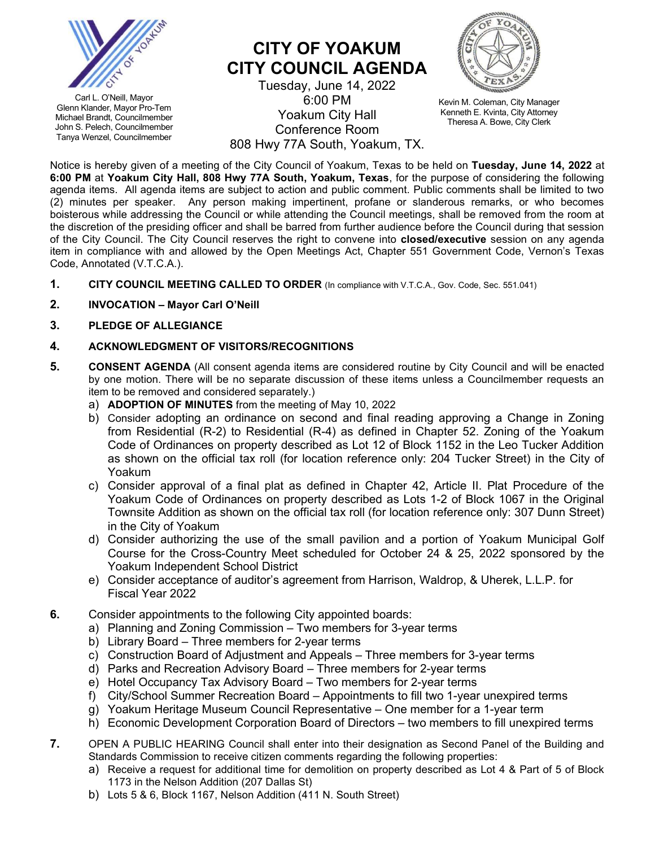

Carl L. O'Neill, Mayor Glenn Klander, Mayor Pro-Tem Michael Brandt, Councilmember John S. Pelech, Councilmember Tanya Wenzel, Councilmember

# CITY OF YOAKUM CITY COUNCIL AGENDA

Tuesday, June 14, 2022 6:00 PM Yoakum City Hall Conference Room 808 Hwy 77A South, Yoakum, TX.



Kevin M. Coleman, City Manager Kenneth E. Kvinta, City Attorney Theresa A. Bowe, City Clerk

Notice is hereby given of a meeting of the City Council of Yoakum, Texas to be held on Tuesday, June 14, 2022 at 6:00 PM at Yoakum City Hall, 808 Hwy 77A South, Yoakum, Texas, for the purpose of considering the following agenda items. All agenda items are subject to action and public comment. Public comments shall be limited to two (2) minutes per speaker. Any person making impertinent, profane or slanderous remarks, or who becomes boisterous while addressing the Council or while attending the Council meetings, shall be removed from the room at the discretion of the presiding officer and shall be barred from further audience before the Council during that session of the City Council. The City Council reserves the right to convene into closed/executive session on any agenda item in compliance with and allowed by the Open Meetings Act, Chapter 551 Government Code, Vernon's Texas Code, Annotated (V.T.C.A.).

- 1. CITY COUNCIL MEETING CALLED TO ORDER (In compliance with V.T.C.A., Gov. Code, Sec. 551.041)
- 2. INVOCATION Mayor Carl O'Neill

# 3. PLEDGE OF ALLEGIANCE

# 4. ACKNOWLEDGMENT OF VISITORS/RECOGNITIONS

- 5. CONSENT AGENDA (All consent agenda items are considered routine by City Council and will be enacted by one motion. There will be no separate discussion of these items unless a Councilmember requests an item to be removed and considered separately.)
	- a) ADOPTION OF MINUTES from the meeting of May 10, 2022
	- b) Consider adopting an ordinance on second and final reading approving a Change in Zoning from Residential (R-2) to Residential (R-4) as defined in Chapter 52. Zoning of the Yoakum Code of Ordinances on property described as Lot 12 of Block 1152 in the Leo Tucker Addition as shown on the official tax roll (for location reference only: 204 Tucker Street) in the City of Yoakum
	- c) Consider approval of a final plat as defined in Chapter 42, Article II. Plat Procedure of the Yoakum Code of Ordinances on property described as Lots 1-2 of Block 1067 in the Original Townsite Addition as shown on the official tax roll (for location reference only: 307 Dunn Street) in the City of Yoakum
	- d) Consider authorizing the use of the small pavilion and a portion of Yoakum Municipal Golf Course for the Cross-Country Meet scheduled for October 24 & 25, 2022 sponsored by the Yoakum Independent School District
	- e) Consider acceptance of auditor's agreement from Harrison, Waldrop, & Uherek, L.L.P. for Fiscal Year 2022
- 6. Consider appointments to the following City appointed boards:
	- a) Planning and Zoning Commission Two members for 3-year terms
	- b) Library Board Three members for 2-year terms
	- c) Construction Board of Adjustment and Appeals Three members for 3-year terms
	- d) Parks and Recreation Advisory Board Three members for 2-year terms
	- e) Hotel Occupancy Tax Advisory Board Two members for 2-year terms
	- f) City/School Summer Recreation Board Appointments to fill two 1-year unexpired terms
	- g) Yoakum Heritage Museum Council Representative One member for a 1-year term
	- h) Economic Development Corporation Board of Directors two members to fill unexpired terms
- 7. OPEN A PUBLIC HEARING Council shall enter into their designation as Second Panel of the Building and Standards Commission to receive citizen comments regarding the following properties:
	- a) Receive a request for additional time for demolition on property described as Lot 4 & Part of 5 of Block 1173 in the Nelson Addition (207 Dallas St)
	- b) Lots 5 & 6, Block 1167, Nelson Addition (411 N. South Street)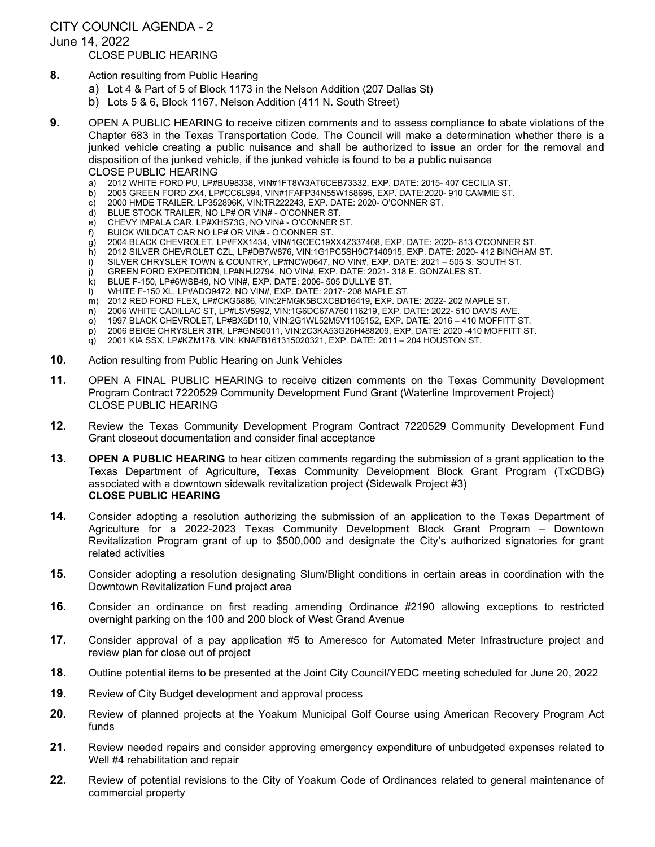# CITY COUNCIL AGENDA - 2

June 14, 2022

#### CLOSE PUBLIC HEARING

- 8. Action resulting from Public Hearing
	- a) Lot 4 & Part of 5 of Block 1173 in the Nelson Addition (207 Dallas St)
	- b) Lots 5 & 6, Block 1167, Nelson Addition (411 N. South Street)
- 9. OPEN A PUBLIC HEARING to receive citizen comments and to assess compliance to abate violations of the Chapter 683 in the Texas Transportation Code. The Council will make a determination whether there is a junked vehicle creating a public nuisance and shall be authorized to issue an order for the removal and disposition of the junked vehicle, if the junked vehicle is found to be a public nuisance CLOSE PUBLIC HEARING
	- a) 2012 WHITE FORD PU, LP#BU98338, VIN#1FT8W3AT6CEB73332, EXP. DATE: 2015-407 CECILIA ST.<br>b) 2005 GREEN FORD ZX4 LP#CC6L994 VIN#1EAFP34N55W158695, EXP. DATE: 2020-910 CAMMIE ST
	- b) 2005 GREEN FORD ZX4, LP#CC6L994, VIN#1FAFP34N55W158695, EXP. DATE:2020- 910 CAMMIE ST.
	- c) 2000 HMDE TRAILER, LP352896K, VIN:TR222243, EXP. DATE: 2020- O'CONNER ST.
	- d) BLUE STOCK TRAILER, NO LP# OR VIN# O'CONNER ST.
	- e) CHEVY IMPALA CAR, LP#XHS73G, NO VIN# O'CONNER ST.
	- f) BUICK WILDCAT CAR NO LP# OR VIN# O'CONNER ST.
	- g) 2004 BLACK CHEVROLET, LP#FXX1434, VIN#1GCEC19XX4Z337408, EXP. DATE: 2020- 813 O'CONNER ST.
	- h) 2012 SILVER CHEVROLET CZL, LP#DB7W876, VIN:1G1PC5SH9C7140915, EXP. DATE: 2020- 412 BINGHAM ST.
	- i) SILVER CHRYSLER TOWN & COUNTRY, LP#NCW0647, NO VIN#, EXP. DATE: 2021 505 S. SOUTH ST.
	- j) GREEN FORD EXPEDITION, LP#NHJ2794, NO VIN#, EXP. DATE: 2021- 318 E. GONZALES ST.
	- k) BLUE F-150, LP#6WSB49, NO VIN#, EXP. DATE: 2006- 505 DULLYE ST.
	- l) WHITE F-150 XL, LP#ADO9472, NO VIN#, EXP. DATE: 2017- 208 MAPLE ST.
	- m) 2012 RED FORD FLEX, LP#CKG5886, VIN:2FMGK5BCXCBD16419, EXP. DATE: 2022- 202 MAPLE ST.
	- n) 2006 WHITE CADILLAC ST, LP#LSV5992, VIN:1G6DC67A760116219, EXP. DATE: 2022- 510 DAVIS AVE.
	- o) 1997 BLACK CHEVROLET, LP#BX5D110, VIN:2G1WL52M5V1105152, EXP. DATE: 2016 410 MOFFITT ST. p) 2006 BEIGE CHRYSLER 3TR, LP#GNS0011, VIN:2C3KA53G26H488209, EXP. DATE: 2020 -410 MOFFITT ST.
	-
	- q) 2001 KIA SSX, LP#KZM178, VIN: KNAFB161315020321, EXP. DATE: 2011 204 HOUSTON ST.
- 10. Action resulting from Public Hearing on Junk Vehicles
- 11. OPEN A FINAL PUBLIC HEARING to receive citizen comments on the Texas Community Development Program Contract 7220529 Community Development Fund Grant (Waterline Improvement Project) CLOSE PUBLIC HEARING
- 12. Review the Texas Community Development Program Contract 7220529 Community Development Fund Grant closeout documentation and consider final acceptance
- 13. OPEN A PUBLIC HEARING to hear citizen comments regarding the submission of a grant application to the Texas Department of Agriculture, Texas Community Development Block Grant Program (TxCDBG) associated with a downtown sidewalk revitalization project (Sidewalk Project #3) CLOSE PUBLIC HEARING
- 14. Consider adopting a resolution authorizing the submission of an application to the Texas Department of Agriculture for a 2022-2023 Texas Community Development Block Grant Program – Downtown Revitalization Program grant of up to \$500,000 and designate the City's authorized signatories for grant related activities
- 15. Consider adopting a resolution designating Slum/Blight conditions in certain areas in coordination with the Downtown Revitalization Fund project area
- 16. Consider an ordinance on first reading amending Ordinance #2190 allowing exceptions to restricted overnight parking on the 100 and 200 block of West Grand Avenue
- 17. Consider approval of a pay application #5 to Ameresco for Automated Meter Infrastructure project and review plan for close out of project
- 18. Outline potential items to be presented at the Joint City Council/YEDC meeting scheduled for June 20, 2022
- 19. Review of City Budget development and approval process
- 20. Review of planned projects at the Yoakum Municipal Golf Course using American Recovery Program Act funds
- 21. Review needed repairs and consider approving emergency expenditure of unbudgeted expenses related to Well #4 rehabilitation and repair
- 22. Review of potential revisions to the City of Yoakum Code of Ordinances related to general maintenance of commercial property